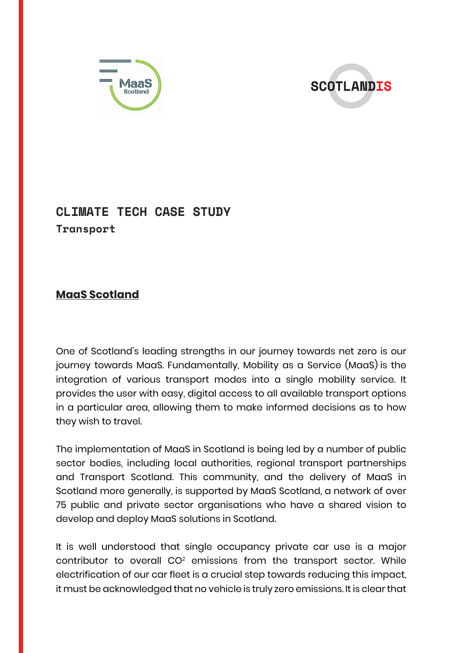



## **CLIMATE TECH CASE STUDY Transport**

## **MaaS Scotland**

One of Scotland's leading strengths in our journey towards net zero is our journey towards MaaS. Fundamentally, Mobility as a Service (MaaS) is the integration of various transport modes into a single mobility service. It provides the user with easy, digital access to all available transport options in a particular area, allowing them to make informed decisions as to how they wish to travel.

The implementation of MaaS in Scotland is being led by a number of public sector bodies, including local authorities, regional transport partnerships and Transport Scotland. This community, and the delivery of MaaS in Scotland more generally, is supported by MaaS Scotland, a network of over 75 public and private sector organisations who have a shared vision to develop and deploy MaaS solutions in Scotland.

It is well understood that single occupancy private car use is a major contributor to overall CO<sup>2</sup> emissions from the transport sector. While electrification of our car fleet is a crucial step towards reducing this impact, it must be acknowledged that no vehicle is truly zero emissions. It is clearthat